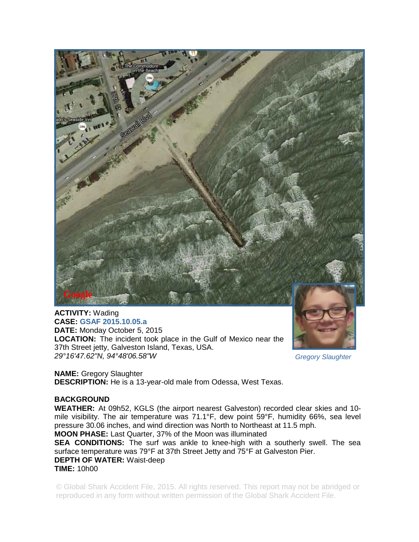

## **ACTIVITY:** Wading **CASE: GSAF 2015.10.05.a**

**DATE:** Monday October 5, 2015 **LOCATION:** The incident took place in the Gulf of Mexico near the 37th Street jetty, Galveston Island, Texas, USA. *29°16'47.62"N, 94°48'06.58"W* 

*Gregory Slaughter* 

**NAME:** Gregory Slaughter **DESCRIPTION:** He is a 13-year-old male from Odessa, West Texas.

## **BACKGROUND**

**WEATHER:** At 09h52, KGLS (the airport nearest Galveston) recorded clear skies and 10 mile visibility. The air temperature was 71.1°F, dew point 59°F, humidity 66%, sea level pressure 30.06 inches, and wind direction was North to Northeast at 11.5 mph.

**MOON PHASE:** Last Quarter, 37% of the Moon was illuminated

**SEA CONDITIONS:** The surf was ankle to knee-high with a southerly swell. The sea surface temperature was 79°F at 37th Street Jetty and 75°F at Galveston Pier. **DEPTH OF WATER:** Waist-deep **TIME:** 10h00

© Global Shark Accident File, 2015. All rights reserved. This report may not be abridged or reproduced in any form without written permission of the Global Shark Accident File.